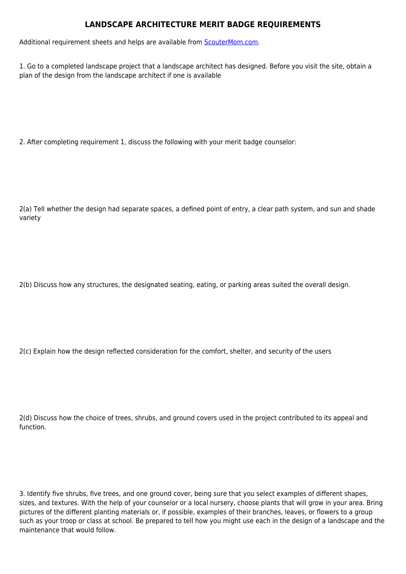## **LANDSCAPE ARCHITECTURE MERIT BADGE REQUIREMENTS**

Additional requirement sheets and helps are available from [ScouterMom.com](http://scoutermom.com).

1. Go to a completed landscape project that a landscape architect has designed. Before you visit the site, obtain a plan of the design from the landscape architect if one is available

2. After completing requirement 1, discuss the following with your merit badge counselor:

2(a) Tell whether the design had separate spaces, a defined point of entry, a clear path system, and sun and shade variety

2(b) Discuss how any structures, the designated seating, eating, or parking areas suited the overall design.

2(c) Explain how the design reflected consideration for the comfort, shelter, and security of the users

2(d) Discuss how the choice of trees, shrubs, and ground covers used in the project contributed to its appeal and function.

3. Identify five shrubs, five trees, and one ground cover, being sure that you select examples of different shapes, sizes, and textures. With the help of your counselor or a local nursery, choose plants that will grow in your area. Bring pictures of the different planting materials or, if possible, examples of their branches, leaves, or flowers to a group such as your troop or class at school. Be prepared to tell how you might use each in the design of a landscape and the maintenance that would follow.